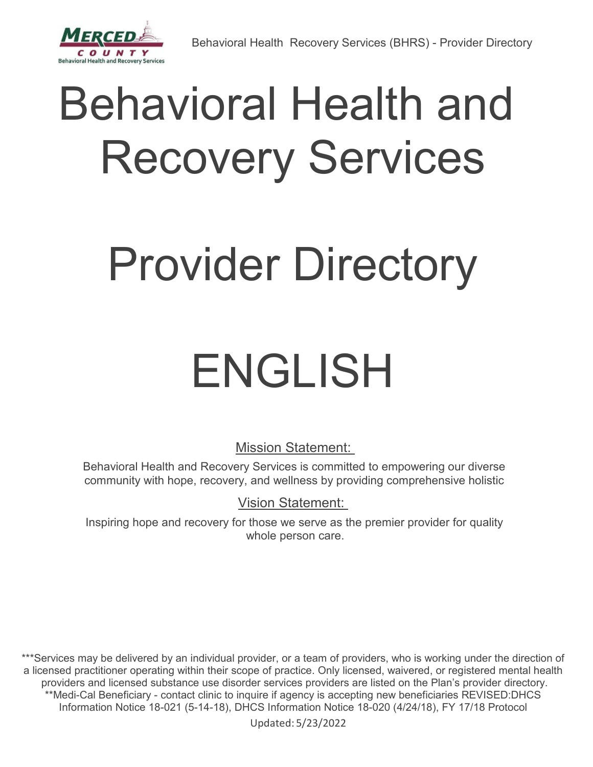# Behavioral Health and Recovery Services

# Provider Directory

# ENGLISH

Mission Statement:

Behavioral Health and Recovery Services is committed to empowering our diverse community with hope, recovery, and wellness by providing comprehensive holistic

Vision Statement:

Inspiring hope and recovery for those we serve as the premier provider for quality whole person care.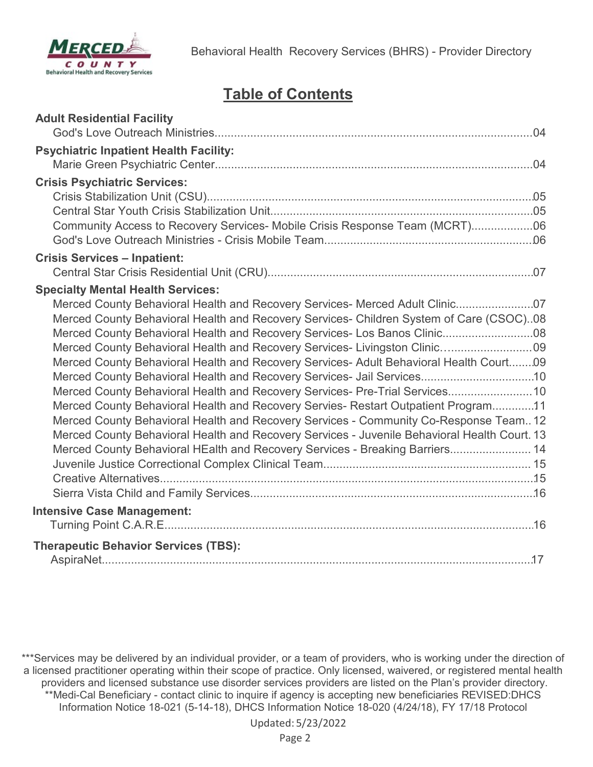

# **Table of Contents**

| <b>Adult Residential Facility</b>                                                            |  |
|----------------------------------------------------------------------------------------------|--|
| <b>Psychiatric Inpatient Health Facility:</b>                                                |  |
|                                                                                              |  |
| <b>Crisis Psychiatric Services:</b>                                                          |  |
|                                                                                              |  |
|                                                                                              |  |
| Community Access to Recovery Services- Mobile Crisis Response Team (MCRT)06                  |  |
|                                                                                              |  |
| <b>Crisis Services - Inpatient:</b>                                                          |  |
|                                                                                              |  |
| <b>Specialty Mental Health Services:</b>                                                     |  |
| Merced County Behavioral Health and Recovery Services- Merced Adult Clinic07                 |  |
| Merced County Behavioral Health and Recovery Services- Children System of Care (CSOC)08      |  |
|                                                                                              |  |
| Merced County Behavioral Health and Recovery Services- Livingston Clinic09                   |  |
| Merced County Behavioral Health and Recovery Services- Adult Behavioral Health Court09       |  |
| Merced County Behavioral Health and Recovery Services- Jail Services10                       |  |
| Merced County Behavioral Health and Recovery Services- Pre-Trial Services 10                 |  |
| Merced County Behavioral Health and Recovery Servies- Restart Outpatient Program11           |  |
| Merced County Behavioral Health and Recovery Services - Community Co-Response Team 12        |  |
| Merced County Behavioral Health and Recovery Services - Juvenile Behavioral Health Court. 13 |  |
| Merced County Behavioral HEalth and Recovery Services - Breaking Barriers 14                 |  |
|                                                                                              |  |
|                                                                                              |  |
|                                                                                              |  |
| <b>Intensive Case Management:</b>                                                            |  |
|                                                                                              |  |
| <b>Therapeutic Behavior Services (TBS):</b>                                                  |  |
|                                                                                              |  |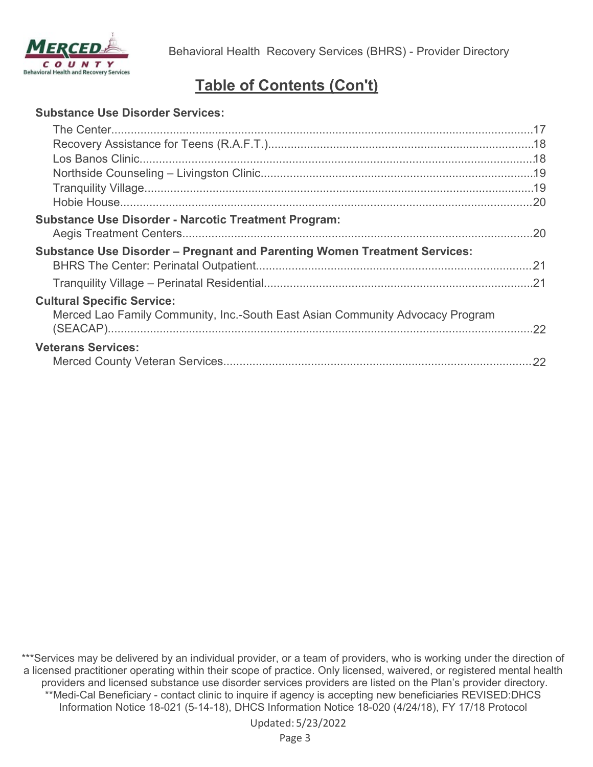

# **Table of Contents (Con't)**

#### **Substance Use Disorder Services:**

| <b>Substance Use Disorder - Narcotic Treatment Program:</b>                                                        |  |
|--------------------------------------------------------------------------------------------------------------------|--|
| <b>Substance Use Disorder - Pregnant and Parenting Women Treatment Services:</b>                                   |  |
|                                                                                                                    |  |
|                                                                                                                    |  |
| <b>Cultural Specific Service:</b><br>Merced Lao Family Community, Inc.-South East Asian Community Advocacy Program |  |
| <b>Veterans Services:</b>                                                                                          |  |
|                                                                                                                    |  |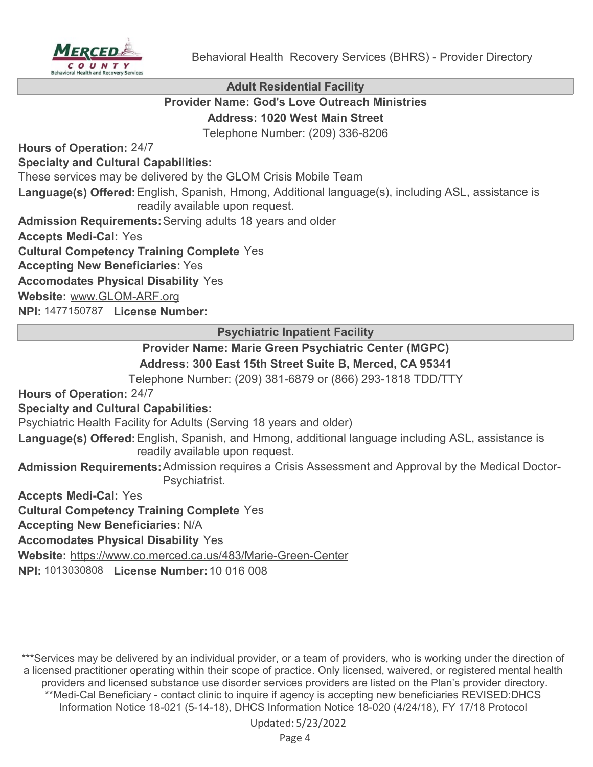

**Adult Residential Facility**

## **Provider Name: God's Love Outreach Ministries Address: 1020 West Main Street**

Telephone Number: (209) 336-8206

**Hours of Operation:** 24/7

## **Specialty and Cultural Capabilities:**

These services may be delivered by the GLOM Crisis Mobile Team

Language(s) Offered: English, Spanish, Hmong, Additional language(s), including ASL, assistance is readily available upon request.

**Admission Requirements:**Serving adults 18 years and older

**Accepts Medi-Cal:** Yes

**Cultural Competency Training Complete** Yes

**Accepting New Beneficiaries:** Yes

**Accomodates Physical Disability** Yes

**Website:** [www.GLOM-ARF.org](http://www.GLOM-ARF.org)

**NPI:** 1477150787 **License Number:**

**Psychiatric Inpatient Facility**

## **Provider Name: Marie Green Psychiatric Center (MGPC) Address: 300 East 15th Street Suite B, Merced, CA 95341**

Telephone Number: (209) 381-6879 or (866) 293-1818 TDD/TTY

**Hours of Operation:** 24/7

## **Specialty and Cultural Capabilities:**

Psychiatric Health Facility for Adults (Serving 18 years and older)

Language(s) Offered: English, Spanish, and Hmong, additional language including ASL, assistance is readily available upon request.

**Admission Requirements:**Admission requires a Crisis Assessment and Approval by the Medical Doctor-Psychiatrist.

**Accepts Medi-Cal:** Yes

**Cultural Competency Training Complete** Yes

**Accepting New Beneficiaries:** N/A

**Accomodates Physical Disability** Yes

**Website:** <https://www.co.merced.ca.us/483/Marie-Green-Center>

**NPI:** 1013030808 **License Number:**10 016 008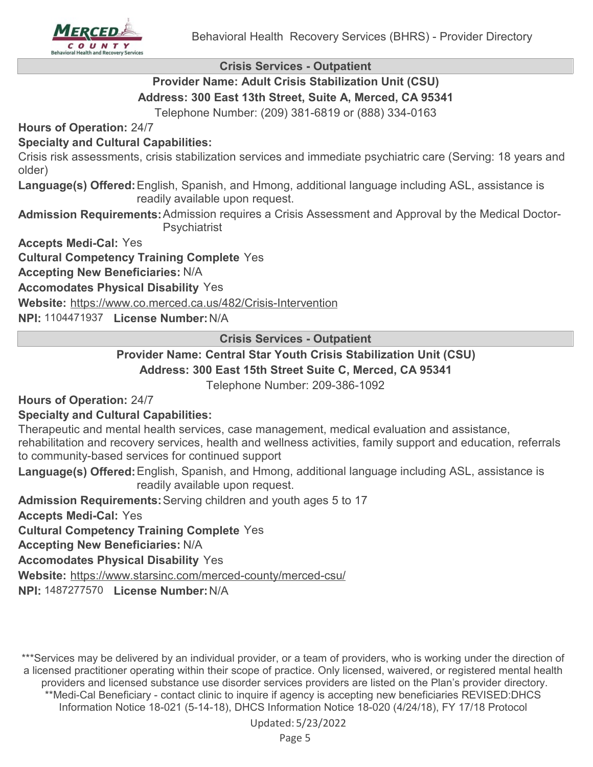

**Crisis Services - Outpatient**

# **Provider Name: Adult Crisis Stabilization Unit (CSU)**

**Address: 300 East 13th Street, Suite A, Merced, CA 95341**

Telephone Number: (209) 381-6819 or (888) 334-0163

**Hours of Operation:** 24/7

## **Specialty and Cultural Capabilities:**

Crisis risk assessments, crisis stabilization services and immediate psychiatric care (Serving: 18 years and older)

Language(s) Offered: English, Spanish, and Hmong, additional language including ASL, assistance is readily available upon request.

**Admission Requirements:**Admission requires a Crisis Assessment and Approval by the Medical Doctor-**Psychiatrist** 

**Accepts Medi-Cal:** Yes

**Cultural Competency Training Complete** Yes

**Accepting New Beneficiaries:** N/A

**Accomodates Physical Disability** Yes

**Website:** <https://www.co.merced.ca.us/482/Crisis-Intervention>

**NPI:** 1104471937 **License Number:**N/A

**Crisis Services - Outpatient**

## **Provider Name: Central Star Youth Crisis Stabilization Unit (CSU) Address: 300 East 15th Street Suite C, Merced, CA 95341**

Telephone Number: 209-386-1092

**Hours of Operation:** 24/7

## **Specialty and Cultural Capabilities:**

Therapeutic and mental health services, case management, medical evaluation and assistance, rehabilitation and recovery services, health and wellness activities, family support and education, referrals to community-based services for continued support

Language(s) Offered: English, Spanish, and Hmong, additional language including ASL, assistance is readily available upon request.

**Admission Requirements:**Serving children and youth ages 5 to 17

**Accepts Medi-Cal:** Yes

**Cultural Competency Training Complete** Yes

**Accepting New Beneficiaries:** N/A

**Accomodates Physical Disability** Yes

**Website:** <https://www.starsinc.com/merced-county/merced-csu/>

**NPI:** 1487277570 **License Number:**N/A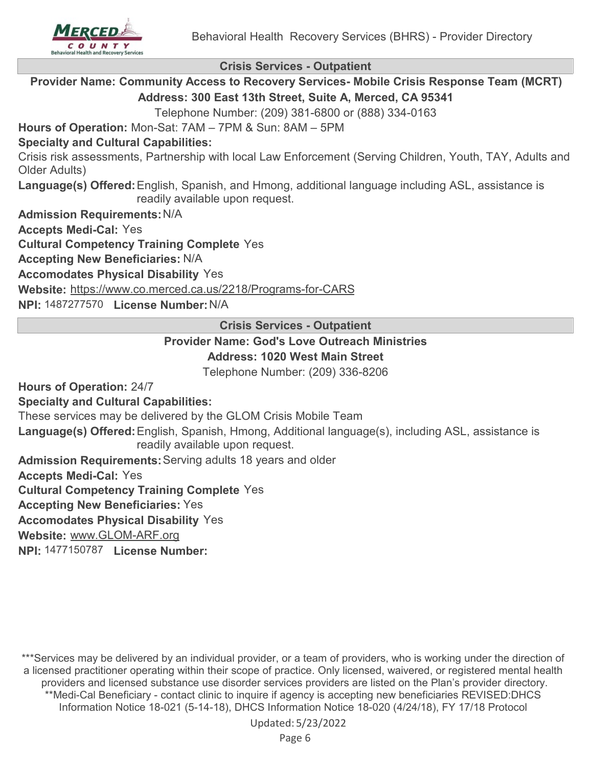**Crisis Services - Outpatient**

**Provider Name: Community Access to Recovery Services- Mobile Crisis Response Team (MCRT) Address: 300 East 13th Street, Suite A, Merced, CA 95341**

Telephone Number: (209) 381-6800 or (888) 334-0163

**Hours of Operation:** Mon-Sat: 7AM – 7PM & Sun: 8AM – 5PM

#### **Specialty and Cultural Capabilities:**

Crisis risk assessments, Partnership with local Law Enforcement (Serving Children, Youth, TAY, Adults and Older Adults)

Language(s) Offered: English, Spanish, and Hmong, additional language including ASL, assistance is readily available upon request.

**Admission Requirements:**N/A

**Accepts Medi-Cal:** Yes

**Cultural Competency Training Complete** Yes

**Accepting New Beneficiaries:** N/A

**Accomodates Physical Disability** Yes

**Website:** <https://www.co.merced.ca.us/2218/Programs-for-CARS>

**NPI:** 1487277570 **License Number:**N/A

**Crisis Services - Outpatient**

## **Provider Name: God's Love Outreach Ministries Address: 1020 West Main Street**

Telephone Number: (209) 336-8206

**Hours of Operation:** 24/7

**Specialty and Cultural Capabilities:**

These services may be delivered by the GLOM Crisis Mobile Team

**Language(s) Offered:** English, Spanish, Hmong, Additional language(s), including ASL, assistance is readily available upon request.

**Admission Requirements:**Serving adults 18 years and older

**Accepts Medi-Cal:** Yes

**Cultural Competency Training Complete** Yes

**Accepting New Beneficiaries:** Yes

**Accomodates Physical Disability** Yes

**Website:** [www.GLOM-ARF.org](http://www.GLOM-ARF.org)

**NPI:** 1477150787 **License Number:**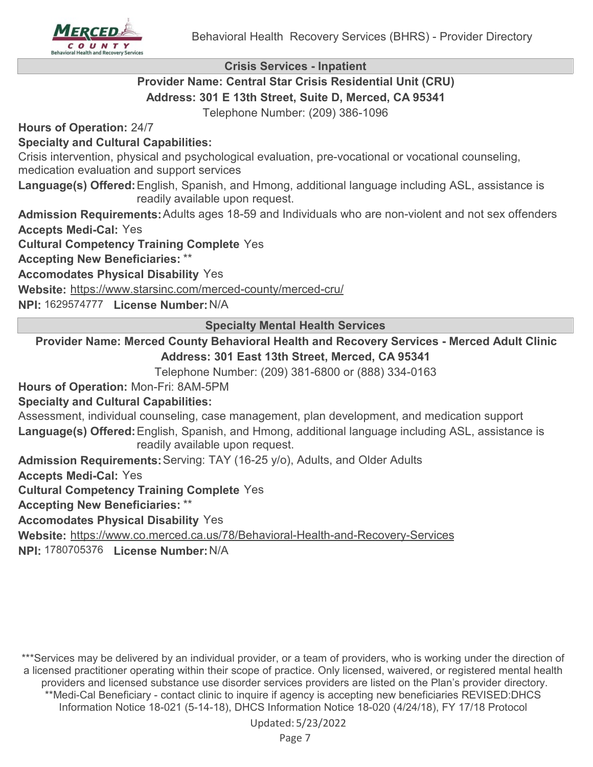

**Crisis Services - Inpatient**

## **Provider Name: Central Star Crisis Residential Unit (CRU) Address: 301 E 13th Street, Suite D, Merced, CA 95341**

Telephone Number: (209) 386-1096

**Hours of Operation:** 24/7

## **Specialty and Cultural Capabilities:**

Crisis intervention, physical and psychological evaluation, pre-vocational or vocational counseling, medication evaluation and support services

Language(s) Offered: English, Spanish, and Hmong, additional language including ASL, assistance is readily available upon request.

**Admission Requirements:**Adults ages 18-59 and Individuals who are non-violent and not sex offenders

**Accepts Medi-Cal:** Yes

**Cultural Competency Training Complete** Yes

**Accepting New Beneficiaries:** \*\*

**Accomodates Physical Disability** Yes

**Website:** <https://www.starsinc.com/merced-county/merced-cru/>

**NPI:** 1629574777 **License Number:**N/A

**Specialty Mental Health Services**

**Provider Name: Merced County Behavioral Health and Recovery Services - Merced Adult Clinic Address: 301 East 13th Street, Merced, CA 95341**

Telephone Number: (209) 381-6800 or (888) 334-0163

**Hours of Operation:** Mon-Fri: 8AM-5PM

## **Specialty and Cultural Capabilities:**

Assessment, individual counseling, case management, plan development, and medication support Language(s) Offered: English, Spanish, and Hmong, additional language including ASL, assistance is readily available upon request.

**Admission Requirements:**Serving: TAY (16-25 y/o), Adults, and Older Adults

**Accepts Medi-Cal:** Yes

**Cultural Competency Training Complete** Yes

**Accepting New Beneficiaries:** \*\*

**Accomodates Physical Disability** Yes

**Website:** <https://www.co.merced.ca.us/78/Behavioral-Health-and-Recovery-Services>

**NPI:** 1780705376 **License Number:**N/A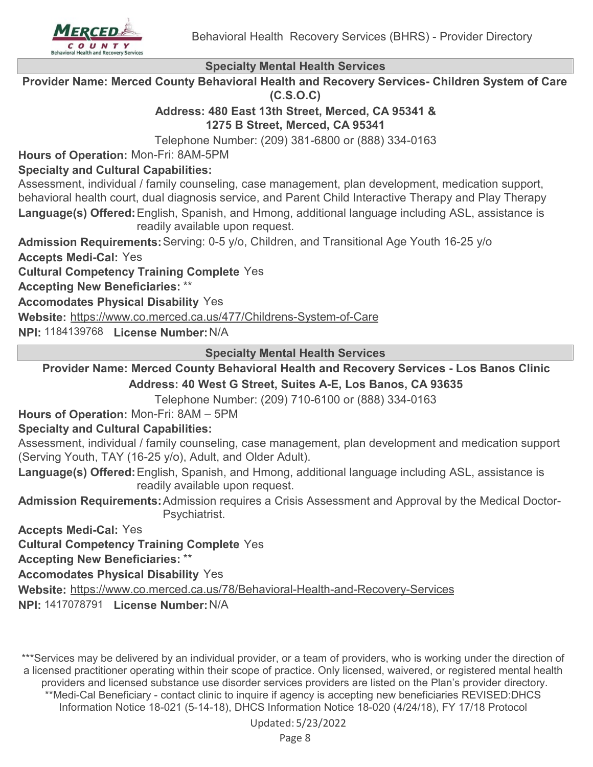

**Provider Name: Merced County Behavioral Health and Recovery Services- Children System of Care (C.S.O.C)**

## **Address: 480 East 13th Street, Merced, CA 95341 & 1275 B Street, Merced, CA 95341**

Telephone Number: (209) 381-6800 or (888) 334-0163

**Hours of Operation:** Mon-Fri: 8AM-5PM

## **Specialty and Cultural Capabilities:**

Assessment, individual / family counseling, case management, plan development, medication support, behavioral health court, dual diagnosis service, and Parent Child Interactive Therapy and Play Therapy **Language(s) Offered:** English, Spanish, and Hmong, additional language including ASL, assistance is readily available upon request.

**Admission Requirements:**Serving: 0-5 y/o, Children, and Transitional Age Youth 16-25 y/o **Accepts Medi-Cal:** Yes

**Cultural Competency Training Complete** Yes

**Accepting New Beneficiaries:** \*\*

**Accomodates Physical Disability** Yes

**Website:** <https://www.co.merced.ca.us/477/Childrens-System-of-Care>

**NPI:** 1184139768 **License Number:**N/A

**Specialty Mental Health Services**

**Provider Name: Merced County Behavioral Health and Recovery Services - Los Banos Clinic Address: 40 West G Street, Suites A-E, Los Banos, CA 93635**

Telephone Number: (209) 710-6100 or (888) 334-0163

**Hours of Operation:** Mon-Fri: 8AM – 5PM

## **Specialty and Cultural Capabilities:**

Assessment, individual / family counseling, case management, plan development and medication support (Serving Youth, TAY (16-25 y/o), Adult, and Older Adult).

Language(s) Offered: English, Spanish, and Hmong, additional language including ASL, assistance is readily available upon request.

**Admission Requirements:**Admission requires a Crisis Assessment and Approval by the Medical Doctor-Psychiatrist.

**Accepts Medi-Cal:** Yes

**Cultural Competency Training Complete** Yes

**Accepting New Beneficiaries:** \*\*

**Accomodates Physical Disability** Yes

**Website:** <https://www.co.merced.ca.us/78/Behavioral-Health-and-Recovery-Services>

**NPI:** 1417078791 **License Number:**N/A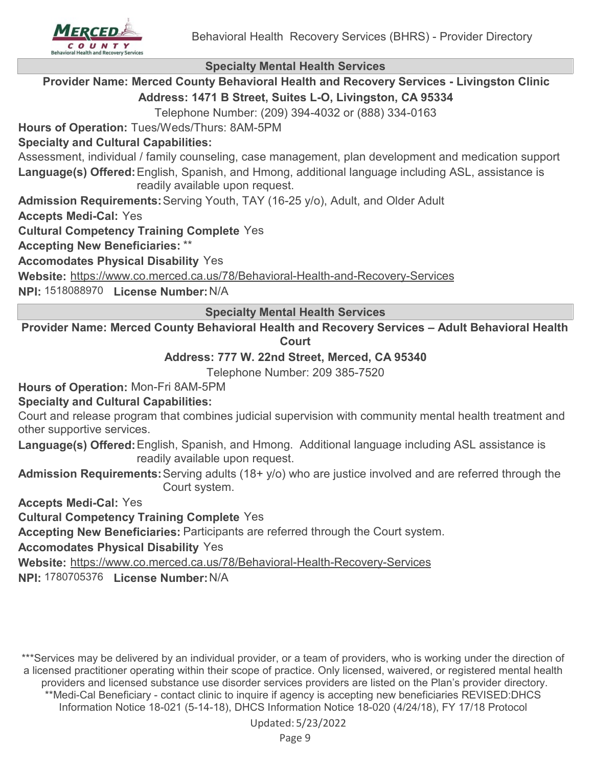

**Provider Name: Merced County Behavioral Health and Recovery Services - Livingston Clinic Address: 1471 B Street, Suites L-O, Livingston, CA 95334**

Telephone Number: (209) 394-4032 or (888) 334-0163

**Hours of Operation:** Tues/Weds/Thurs: 8AM-5PM

## **Specialty and Cultural Capabilities:**

Assessment, individual / family counseling, case management, plan development and medication support Language(s) Offered: English, Spanish, and Hmong, additional language including ASL, assistance is readily available upon request.

**Admission Requirements:**Serving Youth, TAY (16-25 y/o), Adult, and Older Adult

**Accepts Medi-Cal:** Yes

**Cultural Competency Training Complete** Yes

**Accepting New Beneficiaries:** \*\*

**Accomodates Physical Disability** Yes

**Website:** <https://www.co.merced.ca.us/78/Behavioral-Health-and-Recovery-Services>

**NPI:** 1518088970 **License Number:**N/A

**Specialty Mental Health Services**

**Provider Name: Merced County Behavioral Health and Recovery Services – Adult Behavioral Health Court**

## **Address: 777 W. 22nd Street, Merced, CA 95340**

Telephone Number: 209 385-7520

**Hours of Operation:** Mon-Fri 8AM-5PM

## **Specialty and Cultural Capabilities:**

Court and release program that combines judicial supervision with community mental health treatment and other supportive services.

Language(s) Offered: English, Spanish, and Hmong. Additional language including ASL assistance is readily available upon request.

**Admission Requirements:**Serving adults (18+ y/o) who are justice involved and are referred through the Court system.

**Accepts Medi-Cal:** Yes

**Cultural Competency Training Complete** Yes

**Accepting New Beneficiaries:** Participants are referred through the Court system.

## **Accomodates Physical Disability** Yes

**Website:** <https://www.co.merced.ca.us/78/Behavioral-Health-Recovery-Services>

**NPI:** 1780705376 **License Number:**N/A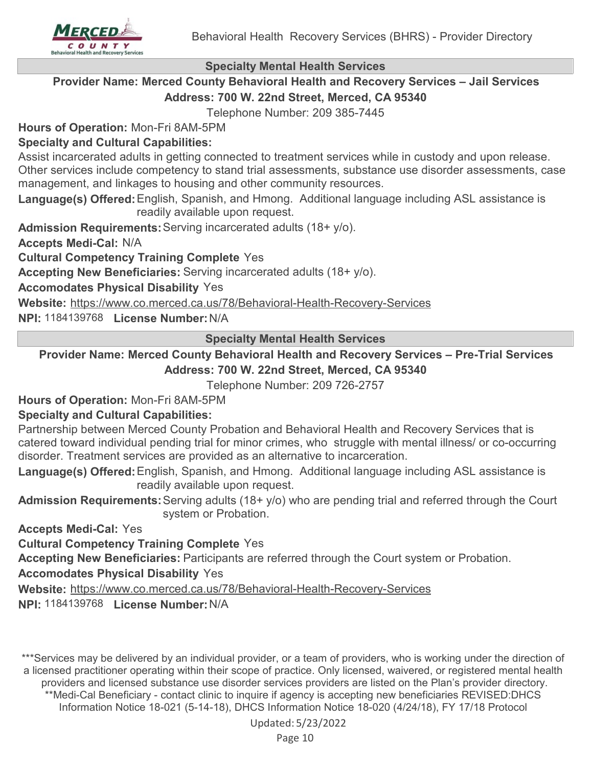

## **Provider Name: Merced County Behavioral Health and Recovery Services – Jail Services Address: 700 W. 22nd Street, Merced, CA 95340**

Telephone Number: 209 385-7445

**Hours of Operation:** Mon-Fri 8AM-5PM

## **Specialty and Cultural Capabilities:**

Assist incarcerated adults in getting connected to treatment services while in custody and upon release. Other services include competency to stand trial assessments, substance use disorder assessments, case management, and linkages to housing and other community resources.

Language(s) Offered: English, Spanish, and Hmong. Additional language including ASL assistance is readily available upon request.

**Admission Requirements:**Serving incarcerated adults (18+ y/o).

**Accepts Medi-Cal:** N/A

**Cultural Competency Training Complete** Yes

**Accepting New Beneficiaries:** Serving incarcerated adults (18+ y/o).

**Accomodates Physical Disability** Yes

**Website:** <https://www.co.merced.ca.us/78/Behavioral-Health-Recovery-Services>

**NPI:** 1184139768 **License Number:**N/A

**Specialty Mental Health Services**

**Provider Name: Merced County Behavioral Health and Recovery Services – Pre-Trial Services**

## **Address: 700 W. 22nd Street, Merced, CA 95340**

Telephone Number: 209 726-2757

**Hours of Operation:** Mon-Fri 8AM-5PM

## **Specialty and Cultural Capabilities:**

Partnership between Merced County Probation and Behavioral Health and Recovery Services that is catered toward individual pending trial for minor crimes, who struggle with mental illness/ or co-occurring disorder. Treatment services are provided as an alternative to incarceration.

Language(s) Offered: English, Spanish, and Hmong. Additional language including ASL assistance is readily available upon request.

**Admission Requirements:**Serving adults (18+ y/o) who are pending trial and referred through the Court system or Probation.

**Accepts Medi-Cal:** Yes

**Cultural Competency Training Complete** Yes

**Accepting New Beneficiaries:** Participants are referred through the Court system or Probation.

**Accomodates Physical Disability** Yes

**Website:** <https://www.co.merced.ca.us/78/Behavioral-Health-Recovery-Services>

**NPI:** 1184139768 **License Number:**N/A

\*\*\*Services may be delivered by an individual provider, or a team of providers, who is working under the direction of a licensed practitioner operating within their scope of practice. Only licensed, waivered, or registered mental health providers and licensed substance use disorder services providers are listed on the Plan's provider directory.

\*\*Medi-Cal Beneficiary - contact clinic to inquire if agency is accepting new beneficiaries REVISED:DHCS Information Notice 18-021 (5-14-18), DHCS Information Notice 18-020 (4/24/18), FY 17/18 Protocol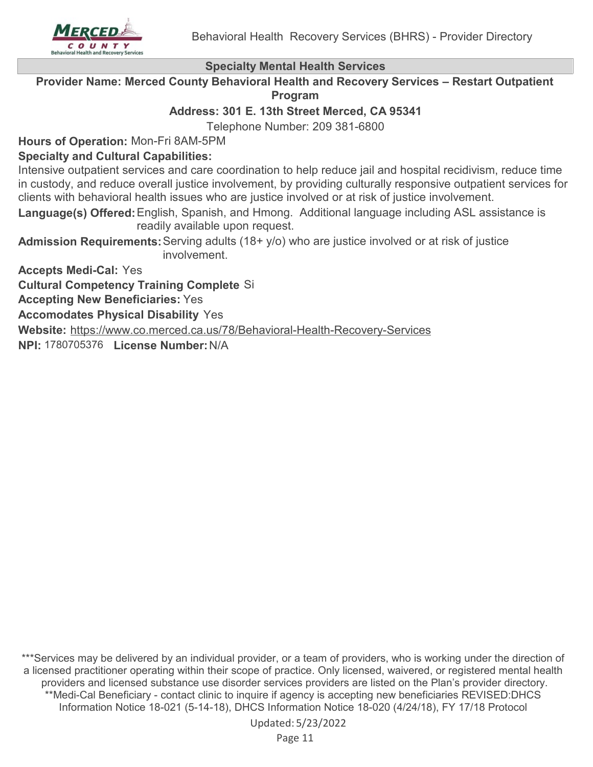

**Provider Name: Merced County Behavioral Health and Recovery Services – Restart Outpatient Program**

**Address: 301 E. 13th Street Merced, CA 95341**

Telephone Number: 209 381-6800

**Hours of Operation:** Mon-Fri 8AM-5PM

## **Specialty and Cultural Capabilities:**

Intensive outpatient services and care coordination to help reduce jail and hospital recidivism, reduce time in custody, and reduce overall justice involvement, by providing culturally responsive outpatient services for clients with behavioral health issues who are justice involved or at risk of justice involvement.

Language(s) Offered: English, Spanish, and Hmong. Additional language including ASL assistance is readily available upon request.

**Admission Requirements:**Serving adults (18+ y/o) who are justice involved or at risk of justice involvement.

**Accepts Medi-Cal:** Yes

**Cultural Competency Training Complete** Si

**Accepting New Beneficiaries:** Yes

**Accomodates Physical Disability** Yes

**Website:** <https://www.co.merced.ca.us/78/Behavioral-Health-Recovery-Services>

**NPI:** 1780705376 **License Number:**N/A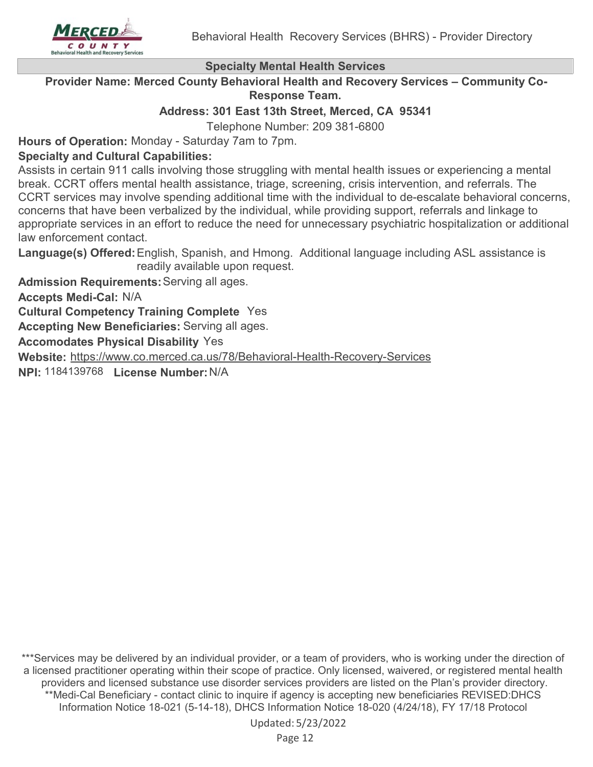

**Provider Name: Merced County Behavioral Health and Recovery Services – Community Co-Response Team.**

**Address: 301 East 13th Street, Merced, CA 95341**

Telephone Number: 209 381-6800

**Hours of Operation:** Monday - Saturday 7am to 7pm.

## **Specialty and Cultural Capabilities:**

Assists in certain 911 calls involving those struggling with mental health issues or experiencing a mental break. CCRT offers mental health assistance, triage, screening, crisis intervention, and referrals. The CCRT services may involve spending additional time with the individual to de-escalate behavioral concerns, concerns that have been verbalized by the individual, while providing support, referrals and linkage to appropriate services in an effort to reduce the need for unnecessary psychiatric hospitalization or additional law enforcement contact.

**Language(s) Offered:** English, Spanish, and Hmong. Additional language including ASL assistance is readily available upon request.

**Admission Requirements:**Serving all ages.

**Accepts Medi-Cal:** N/A

**Cultural Competency Training Complete** Yes

**Accepting New Beneficiaries:** Serving all ages.

**Accomodates Physical Disability** Yes

**Website:** <https://www.co.merced.ca.us/78/Behavioral-Health-Recovery-Services>

**NPI:** 1184139768 **License Number:**N/A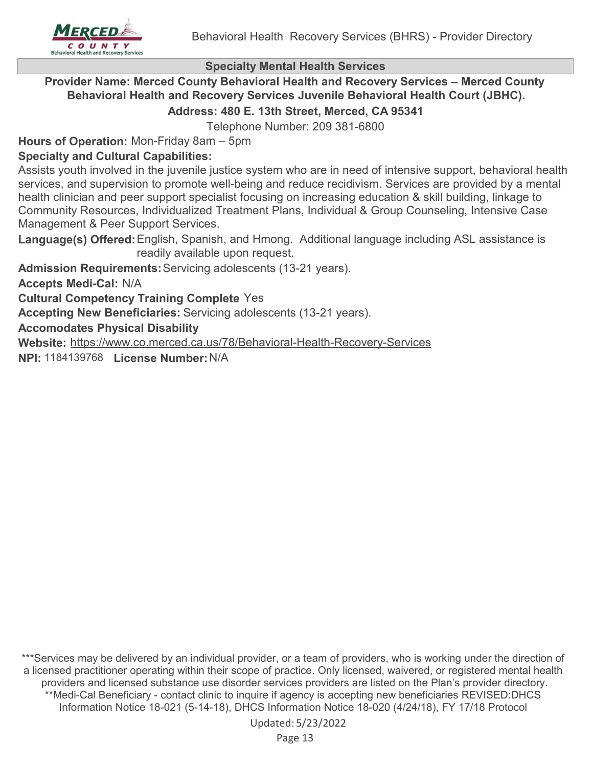

#### **Provider Name: Merced County Behavioral Health and Recovery Services – Merced County Behavioral Health and Recovery Services Juvenile Behavioral Health Court (JBHC). Address: 480 E. 13th Street, Merced, CA 95341**

Telephone Number: 209 381-6800

**Hours of Operation:** Mon-Friday 8am – 5pm

## **Specialty and Cultural Capabilities:**

Assists youth involved in the juvenile justice system who are in need of intensive support, behavioral health services, and supervision to promote well-being and reduce recidivism. Services are provided by a mental health clinician and peer support specialist focusing on increasing education & skill building, linkage to Community Resources, Individualized Treatment Plans, Individual & Group Counseling, Intensive Case Management & Peer Support Services.

Language(s) Offered: English, Spanish, and Hmong. Additional language including ASL assistance is readily available upon request.

**Admission Requirements:**Servicing adolescents (13-21 years).

**Accepts Medi-Cal:** N/A

**Cultural Competency Training Complete** Yes

**Accepting New Beneficiaries:** Servicing adolescents (13-21 years).

## **Accomodates Physical Disability**

**Website:** <https://www.co.merced.ca.us/78/Behavioral-Health-Recovery-Services>

**NPI:** 1184139768 **License Number:**N/A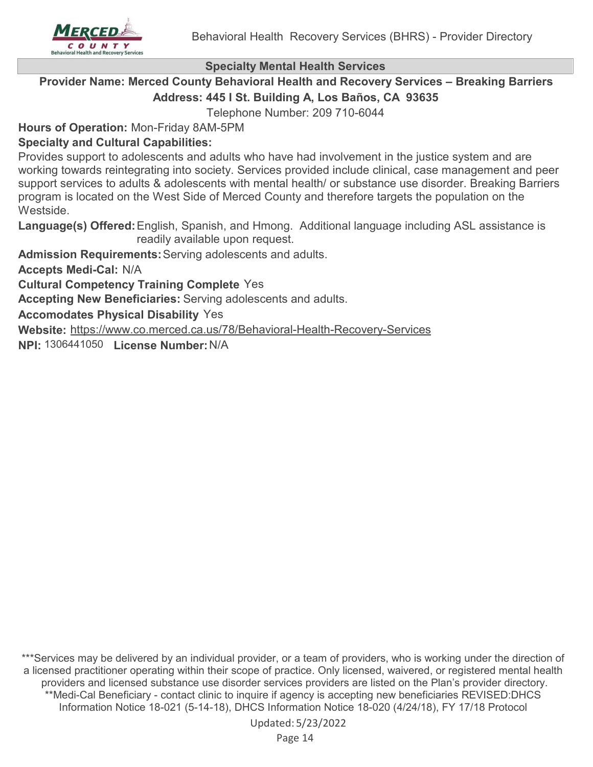

## **Provider Name: Merced County Behavioral Health and Recovery Services – Breaking Barriers Address: 445 I St. Building A, Los Baños, CA 93635**

Telephone Number: 209 710-6044

**Hours of Operation:** Mon-Friday 8AM-5PM

## **Specialty and Cultural Capabilities:**

Provides support to adolescents and adults who have had involvement in the justice system and are working towards reintegrating into society. Services provided include clinical, case management and peer support services to adults & adolescents with mental health/ or substance use disorder. Breaking Barriers program is located on the West Side of Merced County and therefore targets the population on the Westside.

Language(s) Offered: English, Spanish, and Hmong. Additional language including ASL assistance is readily available upon request.

**Admission Requirements:**Serving adolescents and adults.

**Accepts Medi-Cal:** N/A

**Cultural Competency Training Complete** Yes

**Accepting New Beneficiaries:** Serving adolescents and adults.

**Accomodates Physical Disability** Yes

**Website:** <https://www.co.merced.ca.us/78/Behavioral-Health-Recovery-Services>

**NPI:** 1306441050 **License Number:**N/A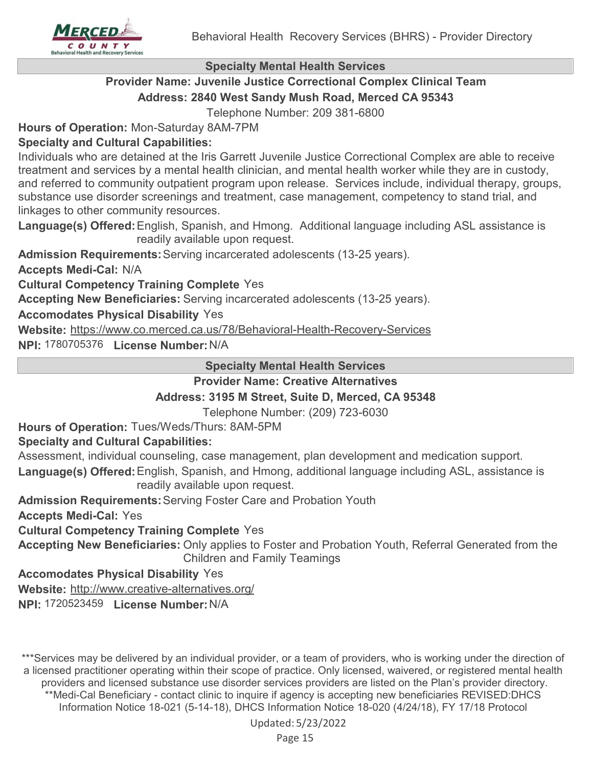

## **Provider Name: Juvenile Justice Correctional Complex Clinical Team Address: 2840 West Sandy Mush Road, Merced CA 95343**

Telephone Number: 209 381-6800

**Hours of Operation:** Mon-Saturday 8AM-7PM

## **Specialty and Cultural Capabilities:**

Individuals who are detained at the Iris Garrett Juvenile Justice Correctional Complex are able to receive treatment and services by a mental health clinician, and mental health worker while they are in custody, and referred to community outpatient program upon release. Services include, individual therapy, groups, substance use disorder screenings and treatment, case management, competency to stand trial, and linkages to other community resources.

Language(s) Offered: English, Spanish, and Hmong. Additional language including ASL assistance is readily available upon request.

**Admission Requirements:**Serving incarcerated adolescents (13-25 years).

**Accepts Medi-Cal:** N/A

**Cultural Competency Training Complete** Yes

**Accepting New Beneficiaries:** Serving incarcerated adolescents (13-25 years).

## **Accomodates Physical Disability** Yes

**Website:** <https://www.co.merced.ca.us/78/Behavioral-Health-Recovery-Services>

**NPI:** 1780705376 **License Number:**N/A

**Specialty Mental Health Services**

**Provider Name: Creative Alternatives**

## **Address: 3195 M Street, Suite D, Merced, CA 95348**

Telephone Number: (209) 723-6030

**Hours of Operation:** Tues/Weds/Thurs: 8AM-5PM

## **Specialty and Cultural Capabilities:**

Assessment, individual counseling, case management, plan development and medication support.

Language(s) Offered: English, Spanish, and Hmong, additional language including ASL, assistance is readily available upon request.

**Admission Requirements:**Serving Foster Care and Probation Youth

**Accepts Medi-Cal:** Yes

**Cultural Competency Training Complete** Yes

**Accepting New Beneficiaries:** Only applies to Foster and Probation Youth, Referral Generated from the Children and Family Teamings

**Accomodates Physical Disability** Yes

**Website:** <http://www.creative-alternatives.org/>

**NPI:** 1720523459 **License Number:**N/A

\*\*\*Services may be delivered by an individual provider, or a team of providers, who is working under the direction of a licensed practitioner operating within their scope of practice. Only licensed, waivered, or registered mental health providers and licensed substance use disorder services providers are listed on the Plan's provider directory.

\*\*Medi-Cal Beneficiary - contact clinic to inquire if agency is accepting new beneficiaries REVISED:DHCS Information Notice 18-021 (5-14-18), DHCS Information Notice 18-020 (4/24/18), FY 17/18 Protocol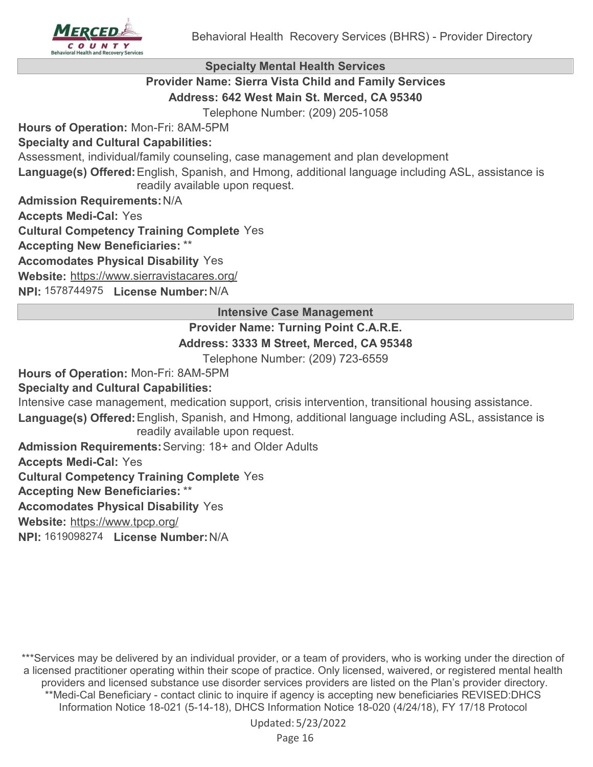

## **Provider Name: Sierra Vista Child and Family Services Address: 642 West Main St. Merced, CA 95340**

Telephone Number: (209) 205-1058

**Hours of Operation:** Mon-Fri: 8AM-5PM

## **Specialty and Cultural Capabilities:**

Assessment, individual/family counseling, case management and plan development

Language(s) Offered: English, Spanish, and Hmong, additional language including ASL, assistance is readily available upon request.

**Admission Requirements:**N/A

**Accepts Medi-Cal:** Yes

**Cultural Competency Training Complete** Yes

**Accepting New Beneficiaries:** \*\*

**Accomodates Physical Disability** Yes

**Website:** <https://www.sierravistacares.org/>

**NPI:** 1578744975 **License Number:**N/A

## **Intensive Case Management**

## **Provider Name: Turning Point C.A.R.E.**

## **Address: 3333 M Street, Merced, CA 95348**

Telephone Number: (209) 723-6559

**Hours of Operation:** Mon-Fri: 8AM-5PM

## **Specialty and Cultural Capabilities:**

Intensive case management, medication support, crisis intervention, transitional housing assistance.

Language(s) Offered: English, Spanish, and Hmong, additional language including ASL, assistance is readily available upon request.

**Admission Requirements:**Serving: 18+ and Older Adults

**Accepts Medi-Cal:** Yes

**Cultural Competency Training Complete** Yes

**Accepting New Beneficiaries:** \*\*

**Accomodates Physical Disability** Yes

**Website:** <https://www.tpcp.org/>

**NPI:** 1619098274 **License Number:**N/A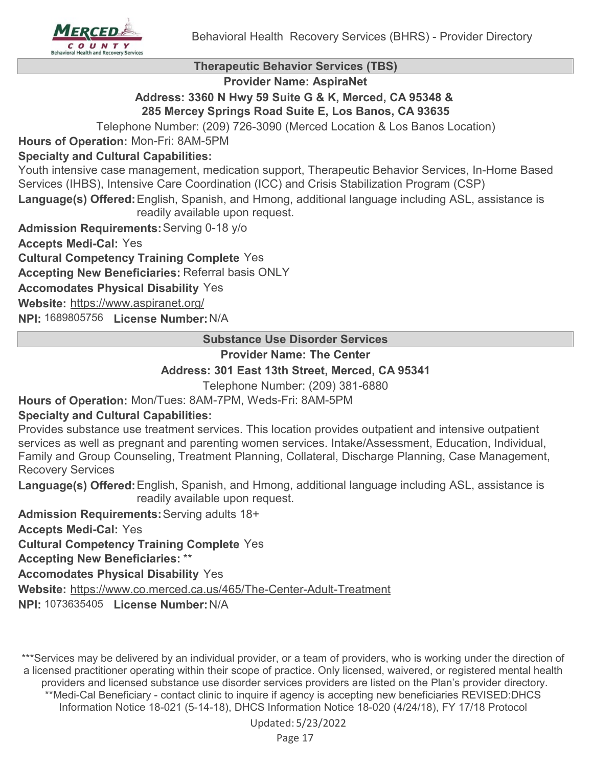

#### **Therapeutic Behavior Services (TBS)**

**Provider Name: AspiraNet**

## **Address: 3360 N Hwy 59 Suite G & K, Merced, CA 95348 & 285 Mercey Springs Road Suite E, Los Banos, CA 93635**

Telephone Number: (209) 726-3090 (Merced Location & Los Banos Location)

**Hours of Operation:** Mon-Fri: 8AM-5PM

## **Specialty and Cultural Capabilities:**

Youth intensive case management, medication support, Therapeutic Behavior Services, In-Home Based Services (IHBS), Intensive Care Coordination (ICC) and Crisis Stabilization Program (CSP)

Language(s) Offered: English, Spanish, and Hmong, additional language including ASL, assistance is readily available upon request.

**Admission Requirements:**Serving 0-18 y/o

**Accepts Medi-Cal:** Yes

**Cultural Competency Training Complete** Yes

**Accepting New Beneficiaries:** Referral basis ONLY

**Accomodates Physical Disability** Yes

**Website:** <https://www.aspiranet.org/>

**NPI:** 1689805756 **License Number:**N/A

**Substance Use Disorder Services**

**Provider Name: The Center**

## **Address: 301 East 13th Street, Merced, CA 95341**

Telephone Number: (209) 381-6880

**Hours of Operation:** Mon/Tues: 8AM-7PM, Weds-Fri: 8AM-5PM

## **Specialty and Cultural Capabilities:**

Provides substance use treatment services. This location provides outpatient and intensive outpatient services as well as pregnant and parenting women services. Intake/Assessment, Education, Individual, Family and Group Counseling, Treatment Planning, Collateral, Discharge Planning, Case Management, Recovery Services

Language(s) Offered: English, Spanish, and Hmong, additional language including ASL, assistance is readily available upon request.

**Admission Requirements:**Serving adults 18+

**Accepts Medi-Cal:** Yes

**Cultural Competency Training Complete** Yes

**Accepting New Beneficiaries:** \*\*

**Accomodates Physical Disability** Yes

**Website:** <https://www.co.merced.ca.us/465/The-Center-Adult-Treatment>

**NPI:** 1073635405 **License Number:**N/A

\*\*\*Services may be delivered by an individual provider, or a team of providers, who is working under the direction of a licensed practitioner operating within their scope of practice. Only licensed, waivered, or registered mental health providers and licensed substance use disorder services providers are listed on the Plan's provider directory. \*\*Medi-Cal Beneficiary - contact clinic to inquire if agency is accepting new beneficiaries REVISED:DHCS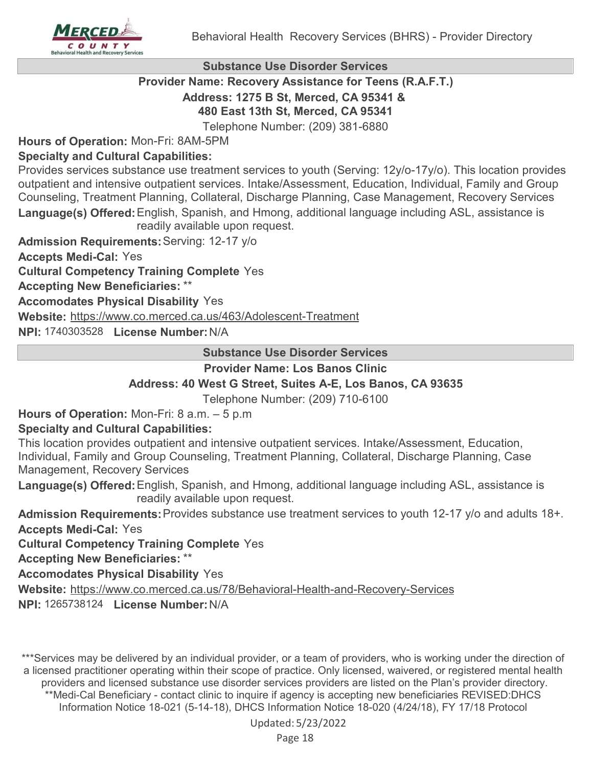

#### **Substance Use Disorder Services**

#### **Provider Name: Recovery Assistance for Teens (R.A.F.T.) Address: 1275 B St, Merced, CA 95341 &**

#### **480 East 13th St, Merced, CA 95341**

Telephone Number: (209) 381-6880

**Hours of Operation:** Mon-Fri: 8AM-5PM

## **Specialty and Cultural Capabilities:**

Provides services substance use treatment services to youth (Serving: 12y/o-17y/o). This location provides outpatient and intensive outpatient services. Intake/Assessment, Education, Individual, Family and Group Counseling, Treatment Planning, Collateral, Discharge Planning, Case Management, Recovery Services Language(s) Offered: English, Spanish, and Hmong, additional language including ASL, assistance is readily available upon request.

**Admission Requirements:**Serving: 12-17 y/o

**Accepts Medi-Cal:** Yes

**Cultural Competency Training Complete** Yes

**Accepting New Beneficiaries:** \*\*

**Accomodates Physical Disability** Yes

**Website:** <https://www.co.merced.ca.us/463/Adolescent-Treatment>

**NPI:** 1740303528 **License Number:**N/A

#### **Substance Use Disorder Services**

#### **Provider Name: Los Banos Clinic**

## **Address: 40 West G Street, Suites A-E, Los Banos, CA 93635**

Telephone Number: (209) 710-6100

**Hours of Operation:** Mon-Fri: 8 a.m. – 5 p.m

## **Specialty and Cultural Capabilities:**

This location provides outpatient and intensive outpatient services. Intake/Assessment, Education, Individual, Family and Group Counseling, Treatment Planning, Collateral, Discharge Planning, Case Management, Recovery Services

Language(s) Offered: English, Spanish, and Hmong, additional language including ASL, assistance is readily available upon request.

**Admission Requirements:**Provides substance use treatment services to youth 12-17 y/o and adults 18+. **Accepts Medi-Cal:** Yes

**Cultural Competency Training Complete** Yes

**Accepting New Beneficiaries:** \*\*

**Accomodates Physical Disability** Yes

**Website:** <https://www.co.merced.ca.us/78/Behavioral-Health-and-Recovery-Services>

**NPI:** 1265738124 **License Number:**N/A

\*\*\*Services may be delivered by an individual provider, or a team of providers, who is working under the direction of a licensed practitioner operating within their scope of practice. Only licensed, waivered, or registered mental health providers and licensed substance use disorder services providers are listed on the Plan's provider directory. \*\*Medi-Cal Beneficiary - contact clinic to inquire if agency is accepting new beneficiaries REVISED:DHCS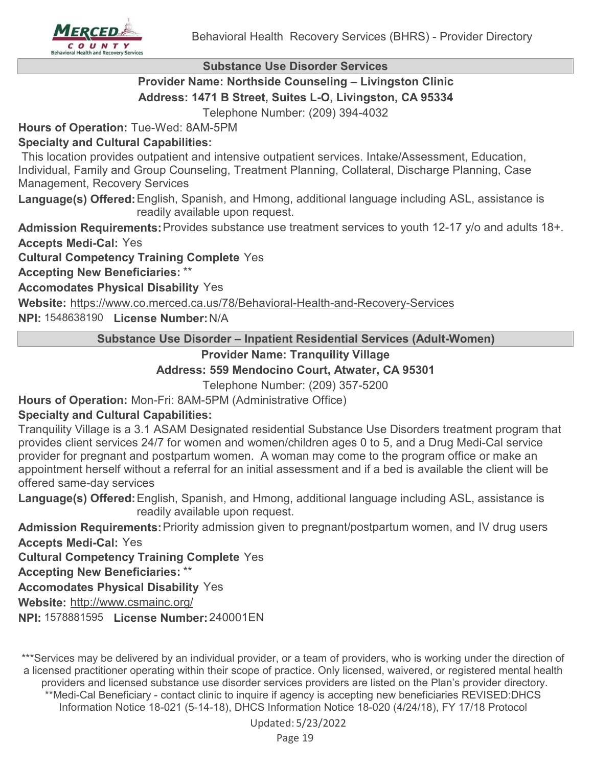#### **Substance Use Disorder Services**

## **Provider Name: Northside Counseling – Livingston Clinic Address: 1471 B Street, Suites L-O, Livingston, CA 95334**

Telephone Number: (209) 394-4032

**Hours of Operation:** Tue-Wed: 8AM-5PM

## **Specialty and Cultural Capabilities:**

 This location provides outpatient and intensive outpatient services. Intake/Assessment, Education, Individual, Family and Group Counseling, Treatment Planning, Collateral, Discharge Planning, Case Management, Recovery Services

Language(s) Offered: English, Spanish, and Hmong, additional language including ASL, assistance is readily available upon request.

**Admission Requirements:**Provides substance use treatment services to youth 12-17 y/o and adults 18+. **Accepts Medi-Cal:** Yes

**Cultural Competency Training Complete** Yes

**Accepting New Beneficiaries:** \*\*

**Accomodates Physical Disability** Yes

**Website:** <https://www.co.merced.ca.us/78/Behavioral-Health-and-Recovery-Services>

**NPI:** 1548638190 **License Number:**N/A

**Substance Use Disorder – Inpatient Residential Services (Adult-Women)**

## **Provider Name: Tranquility Village**

## **Address: 559 Mendocino Court, Atwater, CA 95301**

Telephone Number: (209) 357-5200

**Hours of Operation:** Mon-Fri: 8AM-5PM (Administrative Office)

## **Specialty and Cultural Capabilities:**

Tranquility Village is a 3.1 ASAM Designated residential Substance Use Disorders treatment program that provides client services 24/7 for women and women/children ages 0 to 5, and a Drug Medi-Cal service provider for pregnant and postpartum women. A woman may come to the program office or make an appointment herself without a referral for an initial assessment and if a bed is available the client will be offered same-day services

Language(s) Offered: English, Spanish, and Hmong, additional language including ASL, assistance is readily available upon request.

**Admission Requirements:**Priority admission given to pregnant/postpartum women, and IV drug users **Accepts Medi-Cal:** Yes

**Cultural Competency Training Complete** Yes

**Accepting New Beneficiaries:** \*\*

**Accomodates Physical Disability** Yes

**Website:** <http://www.csmainc.org/>

**NPI:** 1578881595 **License Number:**240001EN

\*\*\*Services may be delivered by an individual provider, or a team of providers, who is working under the direction of a licensed practitioner operating within their scope of practice. Only licensed, waivered, or registered mental health providers and licensed substance use disorder services providers are listed on the Plan's provider directory. \*\*Medi-Cal Beneficiary - contact clinic to inquire if agency is accepting new beneficiaries REVISED:DHCS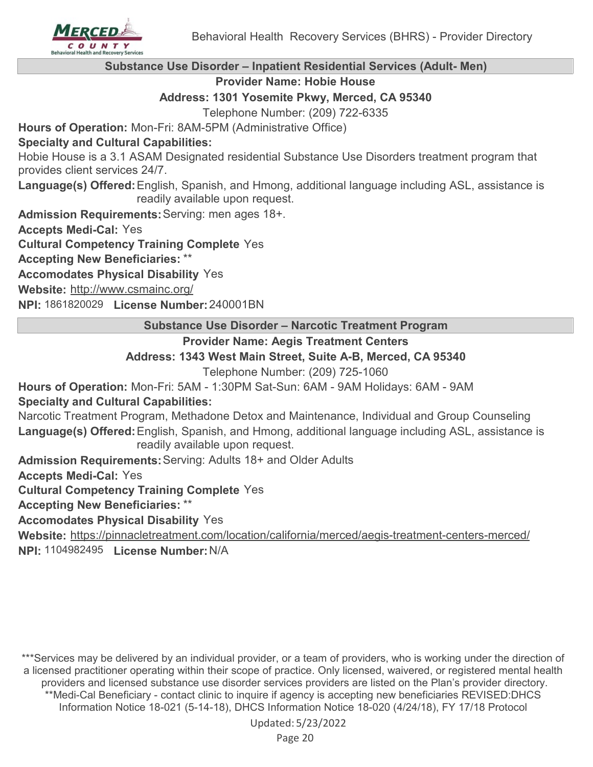

## **Substance Use Disorder – Inpatient Residential Services (Adult- Men)**

#### **Provider Name: Hobie House**

#### **Address: 1301 Yosemite Pkwy, Merced, CA 95340**

Telephone Number: (209) 722-6335

**Hours of Operation:** Mon-Fri: 8AM-5PM (Administrative Office)

#### **Specialty and Cultural Capabilities:**

Hobie House is a 3.1 ASAM Designated residential Substance Use Disorders treatment program that provides client services 24/7.

Language(s) Offered: English, Spanish, and Hmong, additional language including ASL, assistance is readily available upon request.

**Admission Requirements:**Serving: men ages 18+.

**Accepts Medi-Cal:** Yes

**Cultural Competency Training Complete** Yes

**Accepting New Beneficiaries:** \*\*

**Accomodates Physical Disability** Yes

**Website:** <http://www.csmainc.org/>

**NPI:** 1861820029 **License Number:**240001BN

#### **Substance Use Disorder – Narcotic Treatment Program**

## **Provider Name: Aegis Treatment Centers**

## **Address: 1343 West Main Street, Suite A-B, Merced, CA 95340**

Telephone Number: (209) 725-1060

**Hours of Operation:** Mon-Fri: 5AM - 1:30PM Sat-Sun: 6AM - 9AM Holidays: 6AM - 9AM

## **Specialty and Cultural Capabilities:**

Narcotic Treatment Program, Methadone Detox and Maintenance, Individual and Group Counseling Language(s) Offered: English, Spanish, and Hmong, additional language including ASL, assistance is readily available upon request.

**Admission Requirements:**Serving: Adults 18+ and Older Adults

**Accepts Medi-Cal:** Yes

**Cultural Competency Training Complete** Yes

#### **Accepting New Beneficiaries:** \*\*

## **Accomodates Physical Disability** Yes

**Website:** <https://pinnacletreatment.com/location/california/merced/aegis-treatment-centers-merced/>

**NPI:** 1104982495 **License Number:**N/A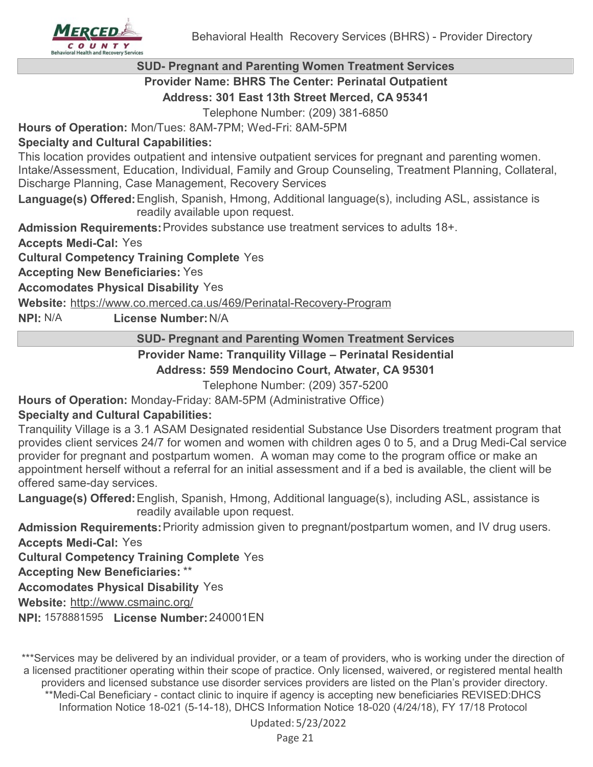

#### **SUD- Pregnant and Parenting Women Treatment Services**

**Provider Name: BHRS The Center: Perinatal Outpatient**

**Address: 301 East 13th Street Merced, CA 95341**

Telephone Number: (209) 381-6850

**Hours of Operation:** Mon/Tues: 8AM-7PM; Wed-Fri: 8AM-5PM

## **Specialty and Cultural Capabilities:**

This location provides outpatient and intensive outpatient services for pregnant and parenting women. Intake/Assessment, Education, Individual, Family and Group Counseling, Treatment Planning, Collateral, Discharge Planning, Case Management, Recovery Services

Language(s) Offered: English, Spanish, Hmong, Additional language(s), including ASL, assistance is readily available upon request.

**Admission Requirements:**Provides substance use treatment services to adults 18+.

**Accepts Medi-Cal:** Yes

**Cultural Competency Training Complete** Yes

**Accepting New Beneficiaries:** Yes

**Accomodates Physical Disability** Yes

**Website:** <https://www.co.merced.ca.us/469/Perinatal-Recovery-Program>

**NPI:** N/A **License Number:**N/A

#### **SUD- Pregnant and Parenting Women Treatment Services**

## **Provider Name: Tranquility Village – Perinatal Residential**

#### **Address: 559 Mendocino Court, Atwater, CA 95301**

Telephone Number: (209) 357-5200

**Specialty and Cultural Capabilities: Hours of Operation:** Monday-Friday: 8AM-5PM (Administrative Office)

Tranquility Village is a 3.1 ASAM Designated residential Substance Use Disorders treatment program that provides client services 24/7 for women and women with children ages 0 to 5, and a Drug Medi-Cal service provider for pregnant and postpartum women. A woman may come to the program office or make an appointment herself without a referral for an initial assessment and if a bed is available, the client will be offered same-day services.

Language(s) Offered: English, Spanish, Hmong, Additional language(s), including ASL, assistance is readily available upon request.

**Admission Requirements:**Priority admission given to pregnant/postpartum women, and IV drug users. **Accepts Medi-Cal:** Yes

**Cultural Competency Training Complete** Yes

**Accepting New Beneficiaries:** \*\*

**Accomodates Physical Disability** Yes

**Website:** <http://www.csmainc.org/>

**NPI:** 1578881595 **License Number:**240001EN

\*\*\*Services may be delivered by an individual provider, or a team of providers, who is working under the direction of a licensed practitioner operating within their scope of practice. Only licensed, waivered, or registered mental health providers and licensed substance use disorder services providers are listed on the Plan's provider directory. \*\*Medi-Cal Beneficiary - contact clinic to inquire if agency is accepting new beneficiaries REVISED:DHCS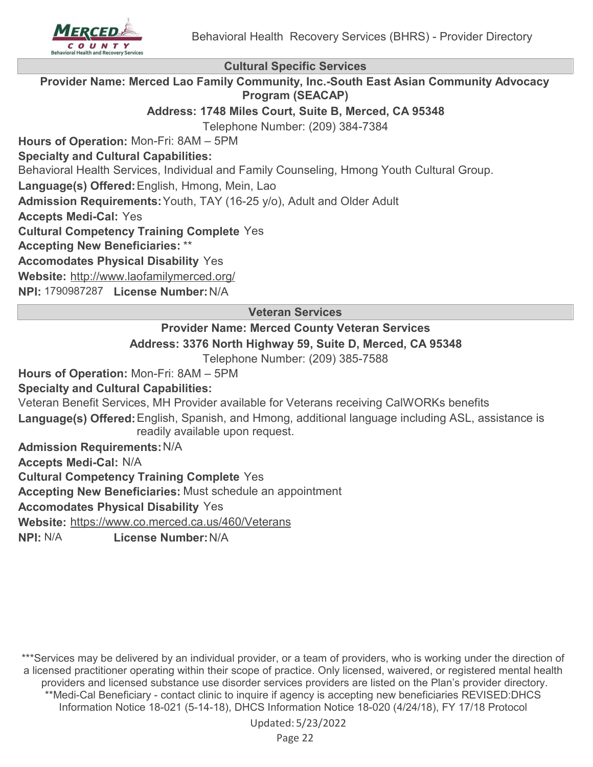

**Cultural Specific Services**

**Provider Name: Merced Lao Family Community, Inc.-South East Asian Community Advocacy Program (SEACAP)**

**Address: 1748 Miles Court, Suite B, Merced, CA 95348**

Telephone Number: (209) 384-7384

**Hours of Operation:** Mon-Fri: 8AM – 5PM

**Specialty and Cultural Capabilities:**

Behavioral Health Services, Individual and Family Counseling, Hmong Youth Cultural Group.

Language(s) Offered: English, Hmong, Mein, Lao

**Admission Requirements:**Youth, TAY (16-25 y/o), Adult and Older Adult

**Accepts Medi-Cal:** Yes

**Cultural Competency Training Complete** Yes

**Accepting New Beneficiaries:** \*\*

**Accomodates Physical Disability** Yes

**Website:** <http://www.laofamilymerced.org/>

**NPI:** 1790987287 **License Number:**N/A

**Veteran Services**

## **Provider Name: Merced County Veteran Services Address: 3376 North Highway 59, Suite D, Merced, CA 95348**

Telephone Number: (209) 385-7588

**Hours of Operation:** Mon-Fri: 8AM – 5PM

**Specialty and Cultural Capabilities:**

Veteran Benefit Services, MH Provider available for Veterans receiving CalWORKs benefits

Language(s) Offered: English, Spanish, and Hmong, additional language including ASL, assistance is readily available upon request.

**Admission Requirements:**N/A

**Accepts Medi-Cal:** N/A

**Cultural Competency Training Complete** Yes

**Accepting New Beneficiaries:** Must schedule an appointment

**Accomodates Physical Disability** Yes

**Website:** <https://www.co.merced.ca.us/460/Veterans>

**NPI:** N/A **License Number:**N/A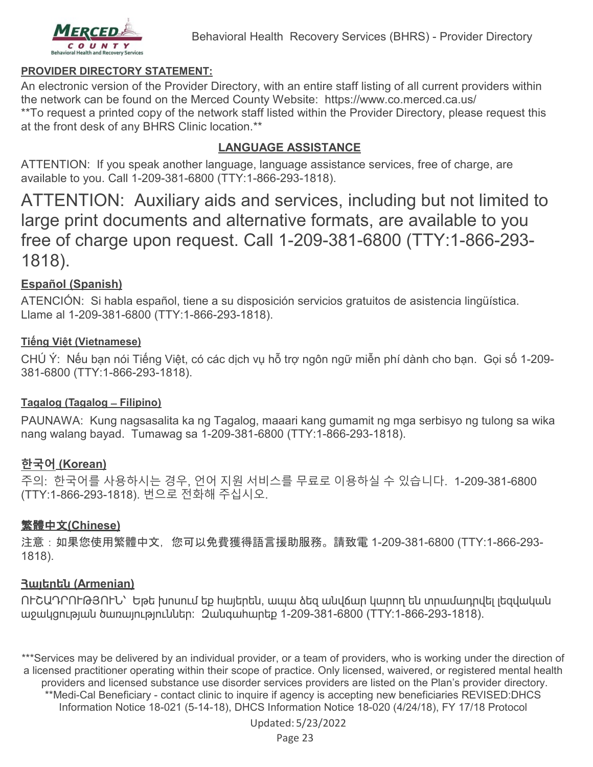

#### **PROVIDER DIRECTORY STATEMENT:**

An electronic version of the Provider Directory, with an entire staff listing of all current providers within the network can be found on the Merced County Website: https://www.co.merced.ca.us/ \*\*To request a printed copy of the network staff listed within the Provider Directory, please request this at the front desk of any BHRS Clinic location.\*\*

## **LANGUAGE ASSISTANCE**

ATTENTION: If you speak another language, language assistance services, free of charge, are available to you. Call 1-209-381-6800 (TTY:1-866-293-1818).

ATTENTION: Auxiliary aids and services, including but not limited to large print documents and alternative formats, are available to you free of charge upon request. Call 1-209-381-6800 (TTY:1-866-293- 1818).

## **Español (Spanish)**

ATENCIÓN: Si habla español, tiene a su disposición servicios gratuitos de asistencia lingüística. Llame al 1-209-381-6800 (TTY:1-866-293-1818).

## **Tiếng Việt (Vietnamese)**

CHÚ Ý: Nếu bạn nói Tiếng Việt, có các dịch vụ hỗ trợ ngôn ngữ miễn phí dành cho bạn. Gọi số 1-209- 381-6800 (TTY:1-866-293-1818).

#### **Tagalog (Tagalog ̶Filipino)**

PAUNAWA: Kung nagsasalita ka ng Tagalog, maaari kang gumamit ng mga serbisyo ng tulong sa wika nang walang bayad. Tumawag sa 1-209-381-6800 (TTY:1-866-293-1818).

## **한국어 (Korean)**

주의: 한국어를 사용하시는 경우, 언어 지원 서비스를 무료로 이용하실 수 있습니다. 1-209-381-6800 (TTY:1-866-293-1818). 번으로 전화해 주십시오.

## 繁體中文**(Chinese)**

注意:如果您使用繁體中文,您可以免費獲得語言援助服務。請致電 1-209-381-6800 (TTY:1-866-293- 1818).

## **Հայերեն (Armenian)**

ՈՒՇԱԴՐՈՒԹՅՈՒՆ՝ Եթե խոսում եք հայերեն, ապա ձեզ անվճար կարող են տրամադրվել լեզվական աջակցության ծառայություններ: Զանգահարեք 1-209-381-6800 (TTY:1-866-293-1818).